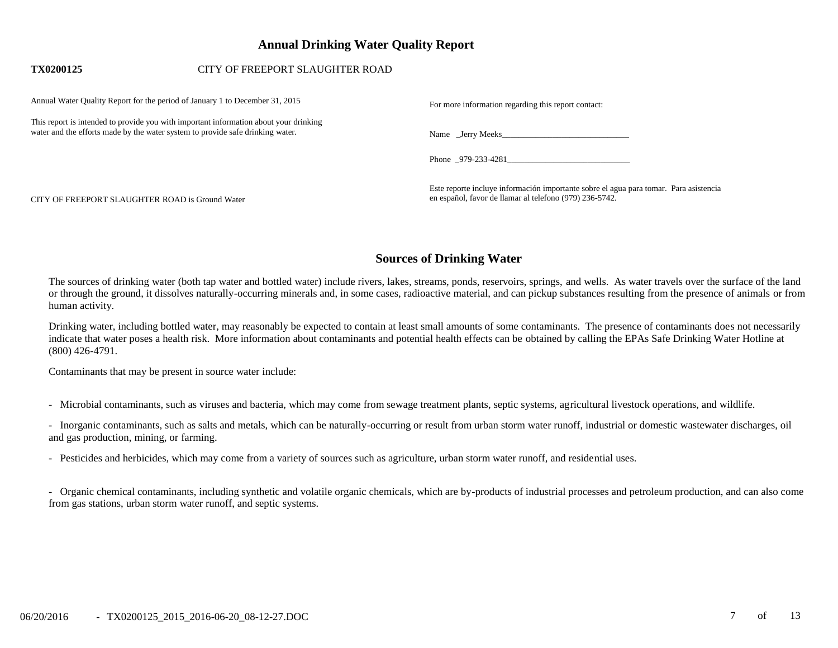# **Annual Drinking Water Quality Report**

## **TX0200125** CITY OF FREEPORT SLAUGHTER ROAD

| Annual Water Quality Report for the period of January 1 to December 31, 2015                                                                                            | For more information regarding this report contact:                                                                                              |
|-------------------------------------------------------------------------------------------------------------------------------------------------------------------------|--------------------------------------------------------------------------------------------------------------------------------------------------|
| This report is intended to provide you with important information about your drinking<br>water and the efforts made by the water system to provide safe drinking water. |                                                                                                                                                  |
|                                                                                                                                                                         | Phone $_979-233-4281$                                                                                                                            |
| CITY OF FREEPORT SLAUGHTER ROAD is Ground Water                                                                                                                         | Este reporte incluye información importante sobre el agua para tomar. Para asistencia<br>en español, favor de llamar al telefono (979) 236-5742. |

# **Sources of Drinking Water**

The sources of drinking water (both tap water and bottled water) include rivers, lakes, streams, ponds, reservoirs, springs, and wells. As water travels over the surface of the land or through the ground, it dissolves naturally-occurring minerals and, in some cases, radioactive material, and can pickup substances resulting from the presence of animals or from human activity.

Drinking water, including bottled water, may reasonably be expected to contain at least small amounts of some contaminants. The presence of contaminants does not necessarily indicate that water poses a health risk. More information about contaminants and potential health effects can be obtained by calling the EPAs Safe Drinking Water Hotline at (800) 426-4791.

Contaminants that may be present in source water include:

- Microbial contaminants, such as viruses and bacteria, which may come from sewage treatment plants, septic systems, agricultural livestock operations, and wildlife.

- Inorganic contaminants, such as salts and metals, which can be naturally-occurring or result from urban storm water runoff, industrial or domestic wastewater discharges, oil and gas production, mining, or farming.

- Pesticides and herbicides, which may come from a variety of sources such as agriculture, urban storm water runoff, and residential uses.

- Organic chemical contaminants, including synthetic and volatile organic chemicals, which are by-products of industrial processes and petroleum production, and can also come from gas stations, urban storm water runoff, and septic systems.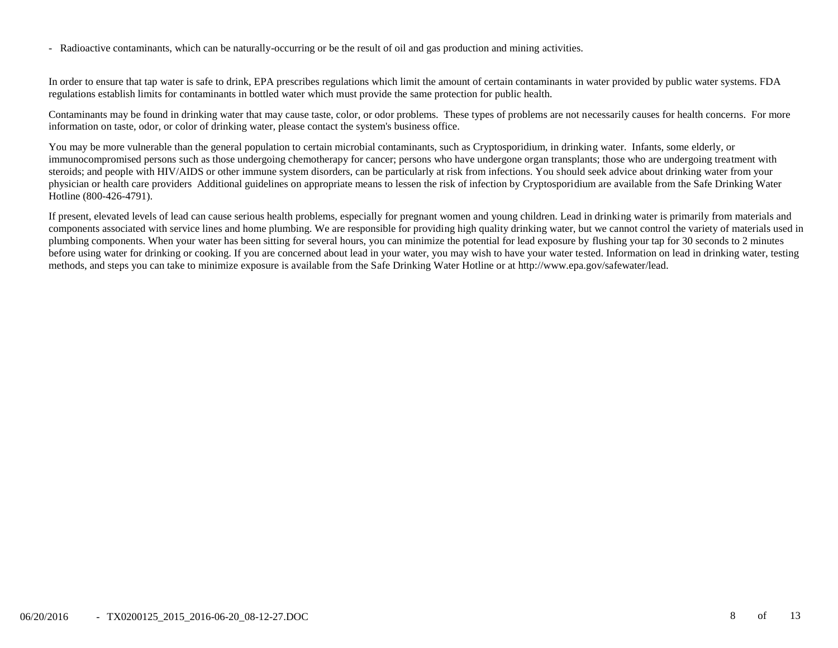- Radioactive contaminants, which can be naturally-occurring or be the result of oil and gas production and mining activities.

In order to ensure that tap water is safe to drink, EPA prescribes regulations which limit the amount of certain contaminants in water provided by public water systems. FDA regulations establish limits for contaminants in bottled water which must provide the same protection for public health.

Contaminants may be found in drinking water that may cause taste, color, or odor problems. These types of problems are not necessarily causes for health concerns. For more information on taste, odor, or color of drinking water, please contact the system's business office.

You may be more vulnerable than the general population to certain microbial contaminants, such as Cryptosporidium, in drinking water. Infants, some elderly, or immunocompromised persons such as those undergoing chemotherapy for cancer; persons who have undergone organ transplants; those who are undergoing treatment with steroids; and people with HIV/AIDS or other immune system disorders, can be particularly at risk from infections. You should seek advice about drinking water from your physician or health care providers Additional guidelines on appropriate means to lessen the risk of infection by Cryptosporidium are available from the Safe Drinking Water Hotline (800-426-4791).

If present, elevated levels of lead can cause serious health problems, especially for pregnant women and young children. Lead in drinking water is primarily from materials and components associated with service lines and home plumbing. We are responsible for providing high quality drinking water, but we cannot control the variety of materials used in plumbing components. When your water has been sitting for several hours, you can minimize the potential for lead exposure by flushing your tap for 30 seconds to 2 minutes before using water for drinking or cooking. If you are concerned about lead in your water, you may wish to have your water tested. Information on lead in drinking water, testing methods, and steps you can take to minimize exposure is available from the Safe Drinking Water Hotline or at http://www.epa.gov/safewater/lead.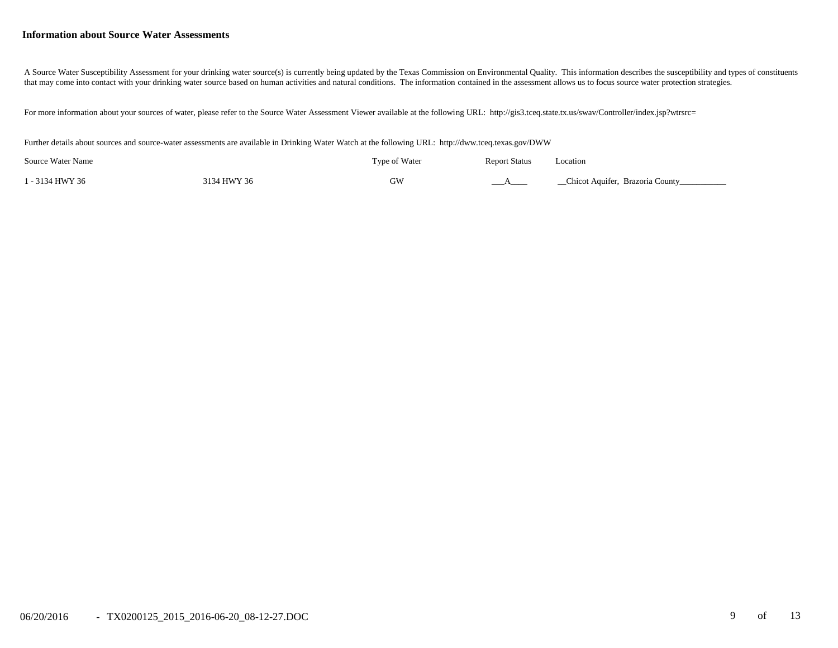#### **Information about Source Water Assessments**

A Source Water Susceptibility Assessment for your drinking water source(s) is currently being updated by the Texas Commission on Environmental Quality. This information describes the susceptibility and types of constituent that may come into contact with your drinking water source based on human activities and natural conditions. The information contained in the assessment allows us to focus source water protection strategies.

For more information about your sources of water, please refer to the Source Water Assessment Viewer available at the following URL: http://gis3.tceq.state.tx.us/swav/Controller/index.jsp?wtrsrc=

Further details about sources and source-water assessments are available in Drinking Water Watch at the following URL: http://dww.tceq.texas.gov/DWW

| Source Water Name |             | Type of Water | <b>Report Status</b> | Location                        |
|-------------------|-------------|---------------|----------------------|---------------------------------|
| 1 - 3134 HWY 36   | 3134 HWY 36 | GW            |                      | Chicot Aquifer, Brazoria County |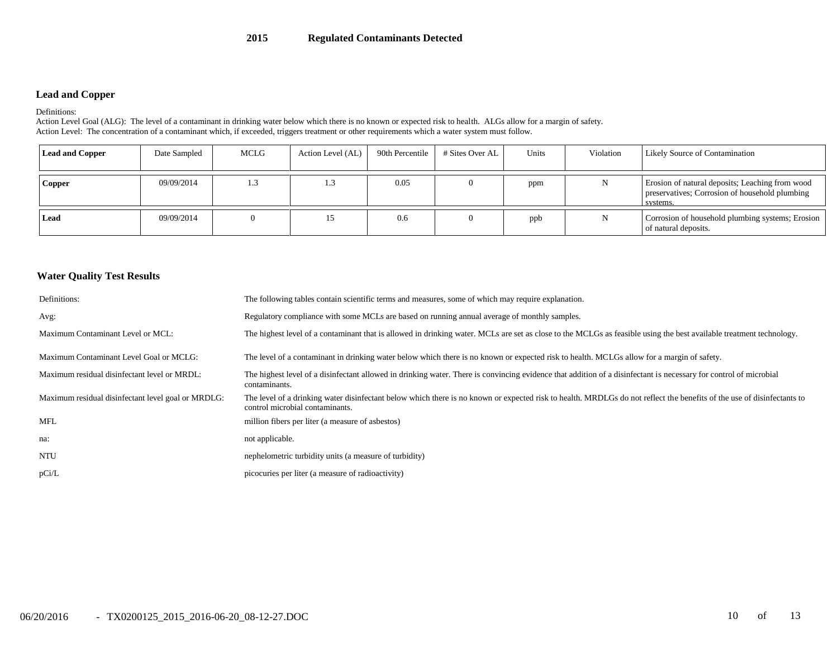### **Lead and Copper**

#### Definitions:

Action Level Goal (ALG): The level of a contaminant in drinking water below which there is no known or expected risk to health. ALGs allow for a margin of safety. Action Level: The concentration of a contaminant which, if exceeded, triggers treatment or other requirements which a water system must follow.

| <b>Lead and Copper</b> | Date Sampled | <b>MCLG</b> | Action Level (AL) | 90th Percentile | # Sites Over AL | Units | Violation | Likely Source of Contamination                                                                                |
|------------------------|--------------|-------------|-------------------|-----------------|-----------------|-------|-----------|---------------------------------------------------------------------------------------------------------------|
| Copper                 | 09/09/2014   | 1.3         | 1.5               | 0.05            |                 | ppm   | N         | Erosion of natural deposits; Leaching from wood<br>preservatives; Corrosion of household plumbing<br>systems. |
| Lead                   | 09/09/2014   |             |                   | 0.6             |                 | ppb   | N         | Corrosion of household plumbing systems; Erosion<br>of natural deposits.                                      |

### **Water Quality Test Results**

| Definitions:                                       | The following tables contain scientific terms and measures, some of which may require explanation.                                                                                                        |
|----------------------------------------------------|-----------------------------------------------------------------------------------------------------------------------------------------------------------------------------------------------------------|
| Avg:                                               | Regulatory compliance with some MCLs are based on running annual average of monthly samples.                                                                                                              |
| Maximum Contaminant Level or MCL:                  | The highest level of a contaminant that is allowed in drinking water. MCLs are set as close to the MCLGs as feasible using the best available treatment technology.                                       |
| Maximum Contaminant Level Goal or MCLG:            | The level of a contaminant in drinking water below which there is no known or expected risk to health. MCLGs allow for a margin of safety.                                                                |
| Maximum residual disinfectant level or MRDL:       | The highest level of a disinfectant allowed in drinking water. There is convincing evidence that addition of a disinfectant is necessary for control of microbial<br>contaminants.                        |
| Maximum residual disinfectant level goal or MRDLG: | The level of a drinking water disinfectant below which there is no known or expected risk to health. MRDLGs do not reflect the benefits of the use of disinfectants to<br>control microbial contaminants. |
| <b>MFL</b>                                         | million fibers per liter (a measure of asbestos)                                                                                                                                                          |
| na:                                                | not applicable.                                                                                                                                                                                           |
| <b>NTU</b>                                         | nephelometric turbidity units (a measure of turbidity)                                                                                                                                                    |
| pCi/L                                              | picocuries per liter (a measure of radioactivity)                                                                                                                                                         |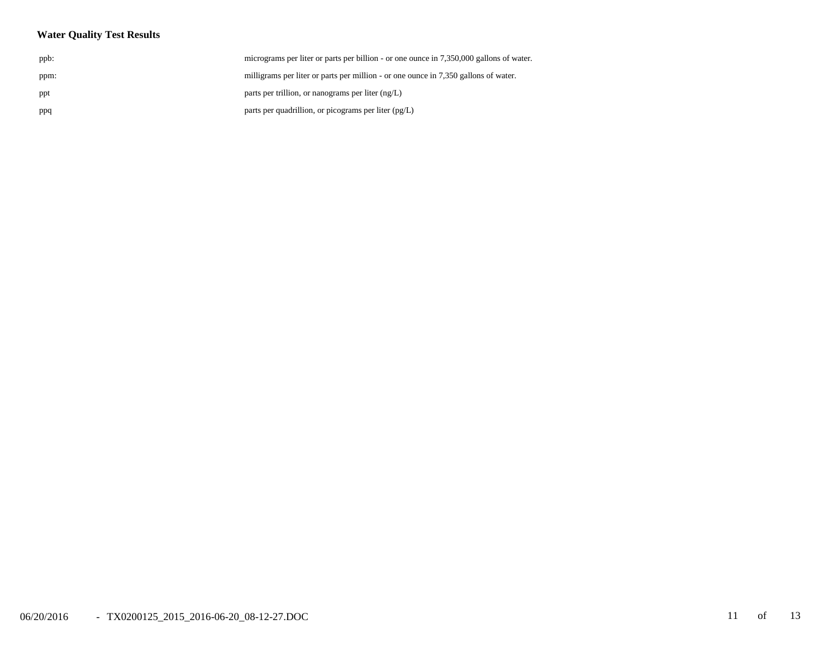## **Water Quality Test Results**

| ppb: | micrograms per liter or parts per billion - or one ounce in 7,350,000 gallons of water. |
|------|-----------------------------------------------------------------------------------------|
| ppm: | milligrams per liter or parts per million - or one ounce in 7,350 gallons of water.     |
| ppt  | parts per trillion, or nanograms per liter $(ng/L)$                                     |
| ppq  | parts per quadrillion, or picograms per liter (pg/L)                                    |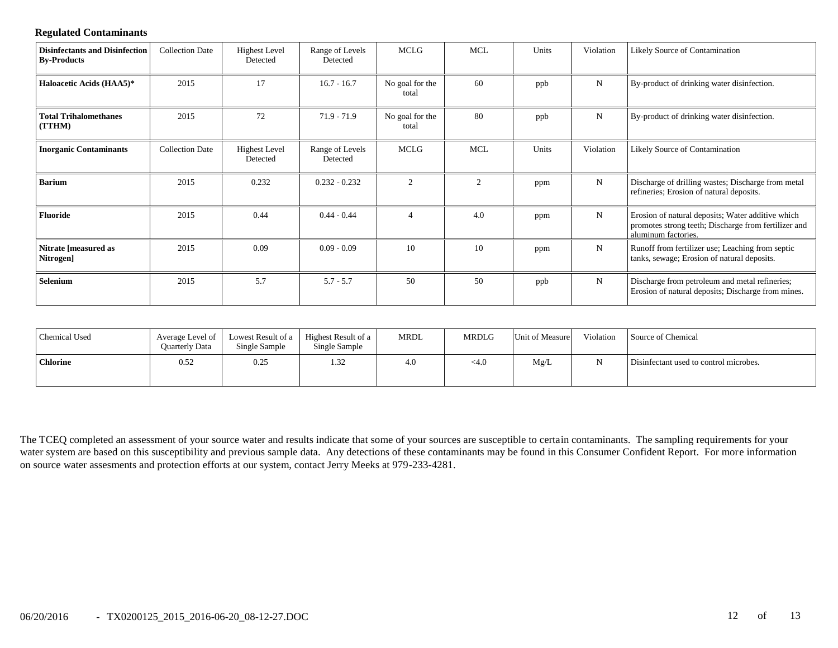### **Regulated Contaminants**

| <b>Disinfectants and Disinfection</b><br><b>By-Products</b> | <b>Collection Date</b> | <b>Highest Level</b><br>Detected | Range of Levels<br>Detected | MCLG                     | <b>MCL</b> | Units | Violation   | Likely Source of Contamination                                                                                                   |
|-------------------------------------------------------------|------------------------|----------------------------------|-----------------------------|--------------------------|------------|-------|-------------|----------------------------------------------------------------------------------------------------------------------------------|
| Haloacetic Acids (HAA5)*                                    | 2015                   | 17                               | $16.7 - 16.7$               | No goal for the<br>total | 60         | ppb   | $\mathbf N$ | By-product of drinking water disinfection.                                                                                       |
| <b>Total Trihalomethanes</b><br>(TTHM)                      | 2015                   | 72                               | $71.9 - 71.9$               | No goal for the<br>total | 80         | ppb   | $\mathbf N$ | By-product of drinking water disinfection.                                                                                       |
| <b>Inorganic Contaminants</b>                               | <b>Collection Date</b> | <b>Highest Level</b><br>Detected | Range of Levels<br>Detected | MCLG                     | <b>MCL</b> | Units | Violation   | Likely Source of Contamination                                                                                                   |
| <b>Barium</b>                                               | 2015                   | 0.232                            | $0.232 - 0.232$             | 2                        | 2          | ppm   | $\mathbf N$ | Discharge of drilling wastes; Discharge from metal<br>refineries; Erosion of natural deposits.                                   |
| <b>Fluoride</b>                                             | 2015                   | 0.44                             | $0.44 - 0.44$               |                          | 4.0        | ppm   | N           | Erosion of natural deposits; Water additive which<br>promotes strong teeth; Discharge from fertilizer and<br>aluminum factories. |
| Nitrate [measured as<br>Nitrogen]                           | 2015                   | 0.09                             | $0.09 - 0.09$               | 10                       | 10         | ppm   | $\mathbf N$ | Runoff from fertilizer use; Leaching from septic<br>tanks, sewage; Erosion of natural deposits.                                  |
| Selenium                                                    | 2015                   | 5.7                              | $5.7 - 5.7$                 | 50                       | 50         | ppb   | $\mathbf N$ | Discharge from petroleum and metal refineries;<br>Erosion of natural deposits; Discharge from mines.                             |

| Chemical Used   | Average Level of<br><b>Ouarterly Data</b> | Single Sample | Lowest Result of a   Highest Result of a<br>Single Sample | MRDL | <b>MRDLG</b> | Unit of Measure | Violation | Source of Chemical                     |
|-----------------|-------------------------------------------|---------------|-----------------------------------------------------------|------|--------------|-----------------|-----------|----------------------------------------|
| <b>Chlorine</b> | 0.52                                      | 0.25          | 1.32                                                      | 4.0  | $<$ 4.0      | Mg/L            |           | Disinfectant used to control microbes. |

The TCEQ completed an assessment of your source water and results indicate that some of your sources are susceptible to certain contaminants. The sampling requirements for your water system are based on this susceptibility and previous sample data. Any detections of these contaminants may be found in this Consumer Confident Report. For more information on source water assesments and protection efforts at our system, contact Jerry Meeks at 979-233-4281.